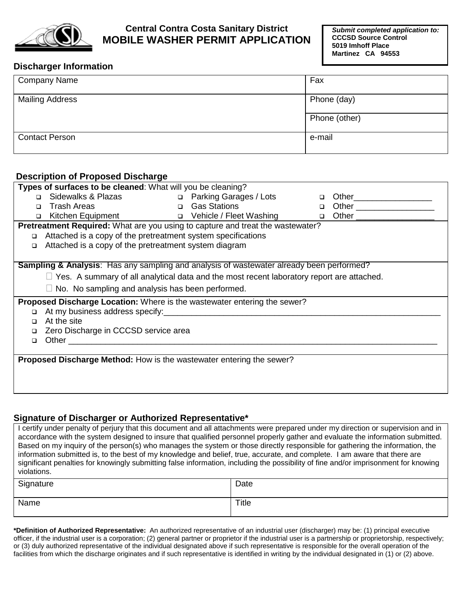

## **Central Contra Costa Sanitary District MOBILE WASHER PERMIT APPLICATION**

*Submit completed application to:* **CCCSD Source Control 5019 Imhoff Place Martinez CA 94553**

## **Discharger Information**

| <b>Company Name</b>    | Fax           |  |
|------------------------|---------------|--|
| <b>Mailing Address</b> | Phone (day)   |  |
|                        | Phone (other) |  |
| <b>Contact Person</b>  | e-mail        |  |

## **Description of Proposed Discharge**

| Types of surfaces to be cleaned: What will you be cleaning?                                         |                                                                                                                                                                                                                                |  |  |        |                            |  |
|-----------------------------------------------------------------------------------------------------|--------------------------------------------------------------------------------------------------------------------------------------------------------------------------------------------------------------------------------|--|--|--------|----------------------------|--|
|                                                                                                     | □ Sidewalks & Plazas □ Parking Garages / Lots                                                                                                                                                                                  |  |  | $\Box$ | Other___________________   |  |
| $\Box$                                                                                              | <b>Example 2 Cas Stations</b><br><b>Trash Areas</b>                                                                                                                                                                            |  |  | $\Box$ | Other ____________________ |  |
| $\Box$                                                                                              | Kitchen Equipment and D Vehicle / Fleet Washing                                                                                                                                                                                |  |  | $\Box$ |                            |  |
| Pretreatment Required: What are you using to capture and treat the wastewater?                      |                                                                                                                                                                                                                                |  |  |        |                            |  |
| $\Box$                                                                                              | Attached is a copy of the pretreatment system specifications                                                                                                                                                                   |  |  |        |                            |  |
| $\Box$                                                                                              | Attached is a copy of the pretreatment system diagram                                                                                                                                                                          |  |  |        |                            |  |
|                                                                                                     |                                                                                                                                                                                                                                |  |  |        |                            |  |
| <b>Sampling &amp; Analysis:</b> Has any sampling and analysis of wastewater already been performed? |                                                                                                                                                                                                                                |  |  |        |                            |  |
|                                                                                                     | $\Box$ Yes. A summary of all analytical data and the most recent laboratory report are attached.                                                                                                                               |  |  |        |                            |  |
|                                                                                                     | $\Box$ No. No sampling and analysis has been performed.                                                                                                                                                                        |  |  |        |                            |  |
| <b>Proposed Discharge Location:</b> Where is the wastewater entering the sewer?                     |                                                                                                                                                                                                                                |  |  |        |                            |  |
| $\Box$                                                                                              | At my business address specify: example and a series of the series of the series of the series of the series of the series of the series of the series of the series of the series of the series of the series of the series o |  |  |        |                            |  |
| $\Box$                                                                                              | At the site                                                                                                                                                                                                                    |  |  |        |                            |  |
| $\Box$                                                                                              | Zero Discharge in CCCSD service area                                                                                                                                                                                           |  |  |        |                            |  |
| $\Box$                                                                                              |                                                                                                                                                                                                                                |  |  |        |                            |  |
|                                                                                                     |                                                                                                                                                                                                                                |  |  |        |                            |  |
| Proposed Discharge Method: How is the wastewater entering the sewer?                                |                                                                                                                                                                                                                                |  |  |        |                            |  |
|                                                                                                     |                                                                                                                                                                                                                                |  |  |        |                            |  |
|                                                                                                     |                                                                                                                                                                                                                                |  |  |        |                            |  |
|                                                                                                     |                                                                                                                                                                                                                                |  |  |        |                            |  |

## **Signature of Discharger or Authorized Representative\***

I certify under penalty of perjury that this document and all attachments were prepared under my direction or supervision and in accordance with the system designed to insure that qualified personnel properly gather and evaluate the information submitted. Based on my inquiry of the person(s) who manages the system or those directly responsible for gathering the information, the information submitted is, to the best of my knowledge and belief, true, accurate, and complete. I am aware that there are significant penalties for knowingly submitting false information, including the possibility of fine and/or imprisonment for knowing violations.

| Signature | Date  |
|-----------|-------|
| Name      | Title |

**\*Definition of Authorized Representative:** An authorized representative of an industrial user (discharger) may be: (1) principal executive officer, if the industrial user is a corporation; (2) general partner or proprietor if the industrial user is a partnership or proprietorship, respectively; or (3) duly authorized representative of the individual designated above if such representative is responsible for the overall operation of the facilities from which the discharge originates and if such representative is identified in writing by the individual designated in (1) or (2) above.